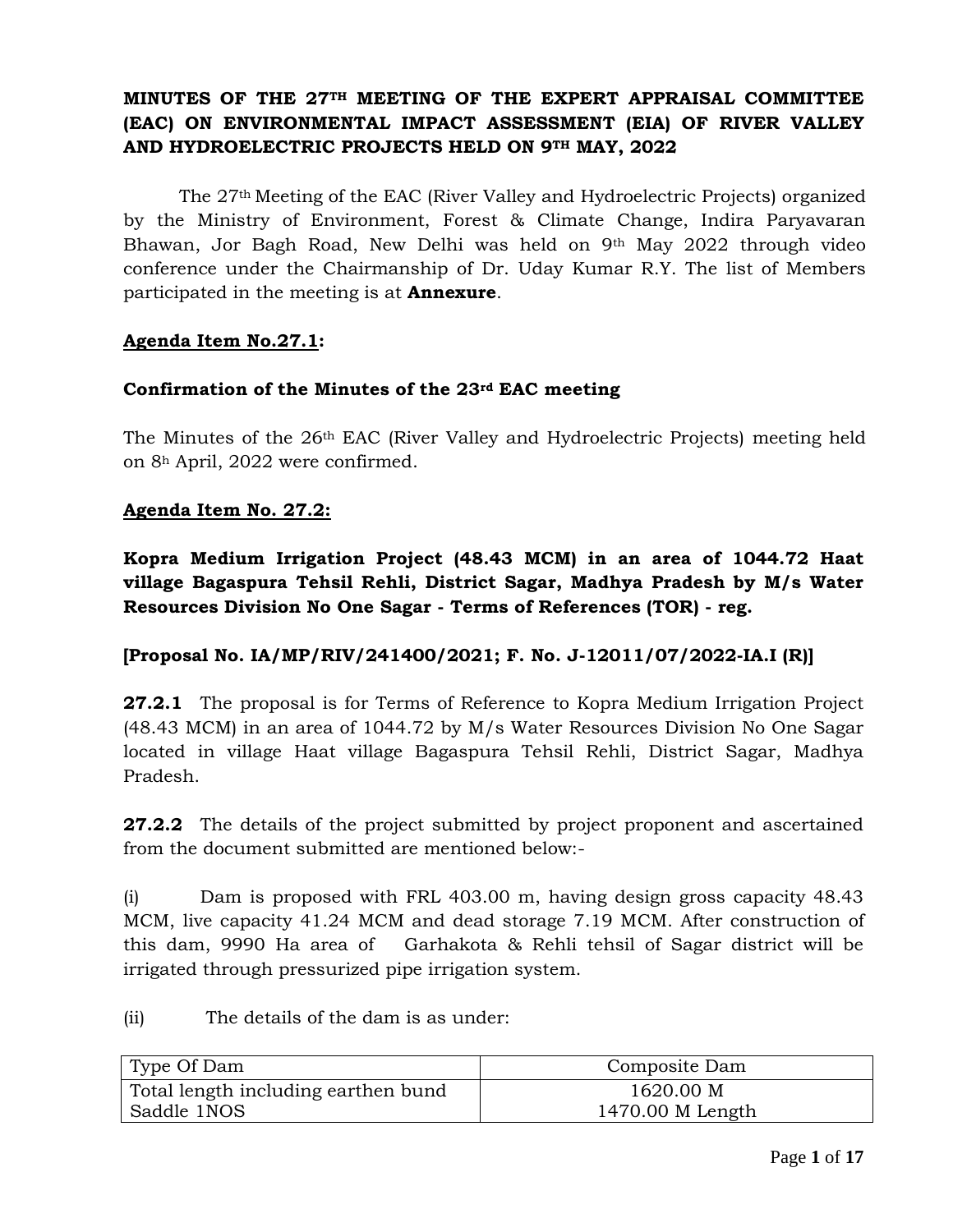# **MINUTES OF THE 27TH MEETING OF THE EXPERT APPRAISAL COMMITTEE (EAC) ON ENVIRONMENTAL IMPACT ASSESSMENT (EIA) OF RIVER VALLEY AND HYDROELECTRIC PROJECTS HELD ON 9TH MAY, 2022**

The 27th Meeting of the EAC (River Valley and Hydroelectric Projects) organized by the Ministry of Environment, Forest & Climate Change, Indira Paryavaran Bhawan, Jor Bagh Road, New Delhi was held on 9th May 2022 through video conference under the Chairmanship of Dr. Uday Kumar R.Y. The list of Members participated in the meeting is at **Annexure**.

### **Agenda Item No.27.1:**

#### **Confirmation of the Minutes of the 23rd EAC meeting**

The Minutes of the 26th EAC (River Valley and Hydroelectric Projects) meeting held on 8<sup>h</sup> April, 2022 were confirmed.

### **Agenda Item No. 27.2:**

**Kopra Medium Irrigation Project (48.43 MCM) in an area of 1044.72 Haat village Bagaspura Tehsil Rehli, District Sagar, Madhya Pradesh by M/s Water Resources Division No One Sagar - Terms of References (TOR) - reg.**

#### **[Proposal No. IA/MP/RIV/241400/2021; F. No. J-12011/07/2022-IA.I (R)]**

**27.2.1** The proposal is for Terms of Reference to Kopra Medium Irrigation Project (48.43 MCM) in an area of 1044.72 by M/s Water Resources Division No One Sagar located in village Haat village Bagaspura Tehsil Rehli, District Sagar, Madhya Pradesh.

**27.2.2** The details of the project submitted by project proponent and ascertained from the document submitted are mentioned below:-

(i) Dam is proposed with FRL 403.00 m, having design gross capacity 48.43 MCM, live capacity 41.24 MCM and dead storage 7.19 MCM. After construction of this dam, 9990 Ha area of Garhakota & Rehli tehsil of Sagar district will be irrigated through pressurized pipe irrigation system.

(ii) The details of the dam is as under:

| Type Of Dam                         | Composite Dam    |
|-------------------------------------|------------------|
| Total length including earthen bund | 1620.00 M        |
| Saddle 1NOS                         | 1470.00 M Length |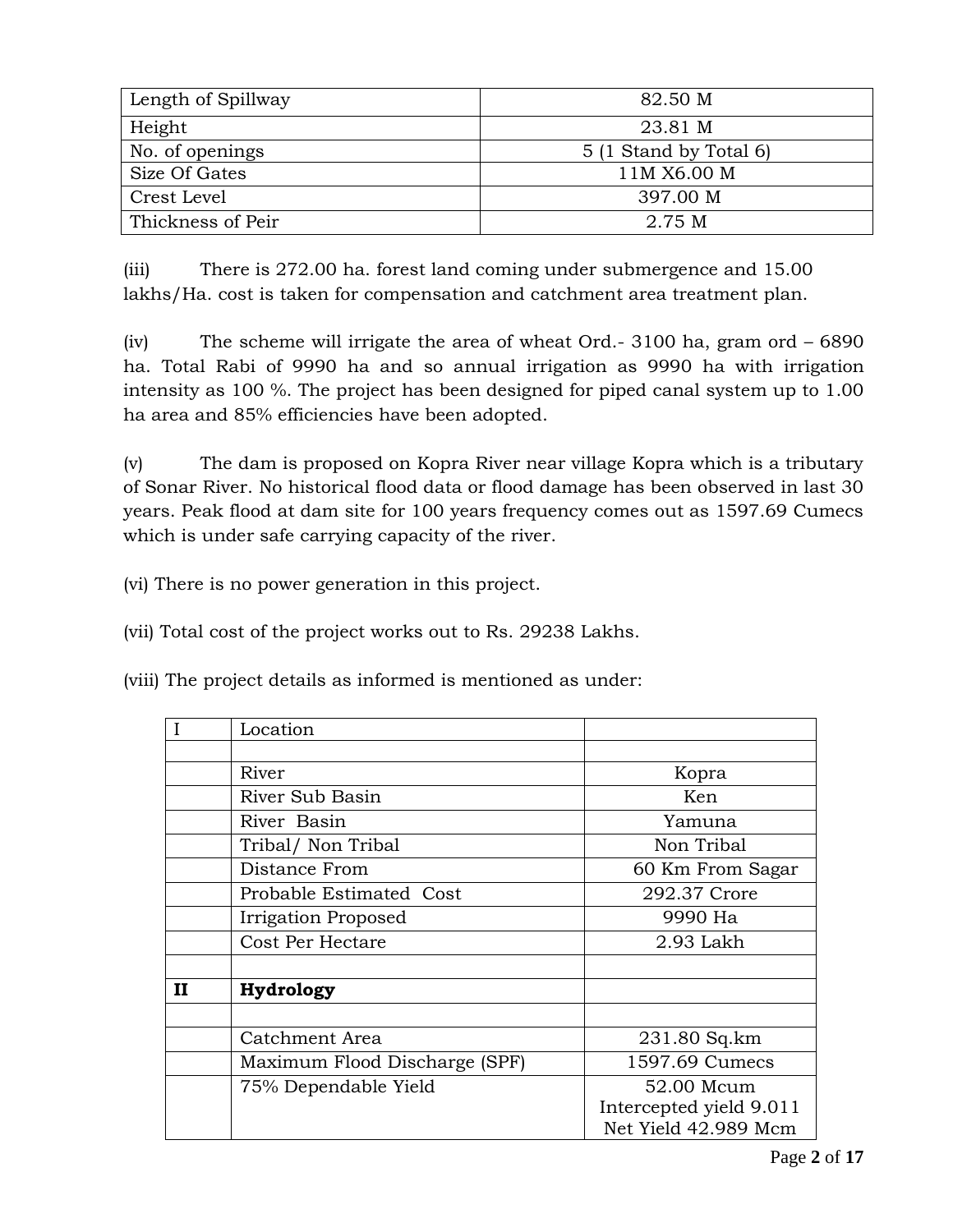| Length of Spillway | 82.50 M                |
|--------------------|------------------------|
| Height             | 23.81 M                |
| No. of openings    | 5 (1 Stand by Total 6) |
| Size Of Gates      | 11M X6.00 M            |
| Crest Level        | 397.00 M               |
| Thickness of Peir  | 2.75 M                 |

(iii) There is 272.00 ha. forest land coming under submergence and 15.00 lakhs/Ha. cost is taken for compensation and catchment area treatment plan.

(iv) The scheme will irrigate the area of wheat Ord.- 3100 ha, gram ord – 6890 ha. Total Rabi of 9990 ha and so annual irrigation as 9990 ha with irrigation intensity as 100 %. The project has been designed for piped canal system up to 1.00 ha area and 85% efficiencies have been adopted.

(v) The dam is proposed on Kopra River near village Kopra which is a tributary of Sonar River. No historical flood data or flood damage has been observed in last 30 years. Peak flood at dam site for 100 years frequency comes out as 1597.69 Cumecs which is under safe carrying capacity of the river.

(vi) There is no power generation in this project.

(vii) Total cost of the project works out to Rs. 29238 Lakhs.

(viii) The project details as informed is mentioned as under:

|   | Location                      |                         |  |
|---|-------------------------------|-------------------------|--|
|   |                               |                         |  |
|   | River                         | Kopra                   |  |
|   | River Sub Basin               | Ken                     |  |
|   | River Basin                   | Yamuna                  |  |
|   | Tribal/ Non Tribal            | Non Tribal              |  |
|   | Distance From                 | 60 Km From Sagar        |  |
|   | Probable Estimated Cost       | 292.37 Crore            |  |
|   | Irrigation Proposed           | 9990 Ha                 |  |
|   | Cost Per Hectare              | 2.93 Lakh               |  |
|   |                               |                         |  |
| П | Hydrology                     |                         |  |
|   |                               |                         |  |
|   | Catchment Area                | 231.80 Sq.km            |  |
|   | Maximum Flood Discharge (SPF) | 1597.69 Cumecs          |  |
|   | 75% Dependable Yield          | 52.00 Mcum              |  |
|   |                               | Intercepted yield 9.011 |  |
|   |                               | Net Yield 42.989 Mcm    |  |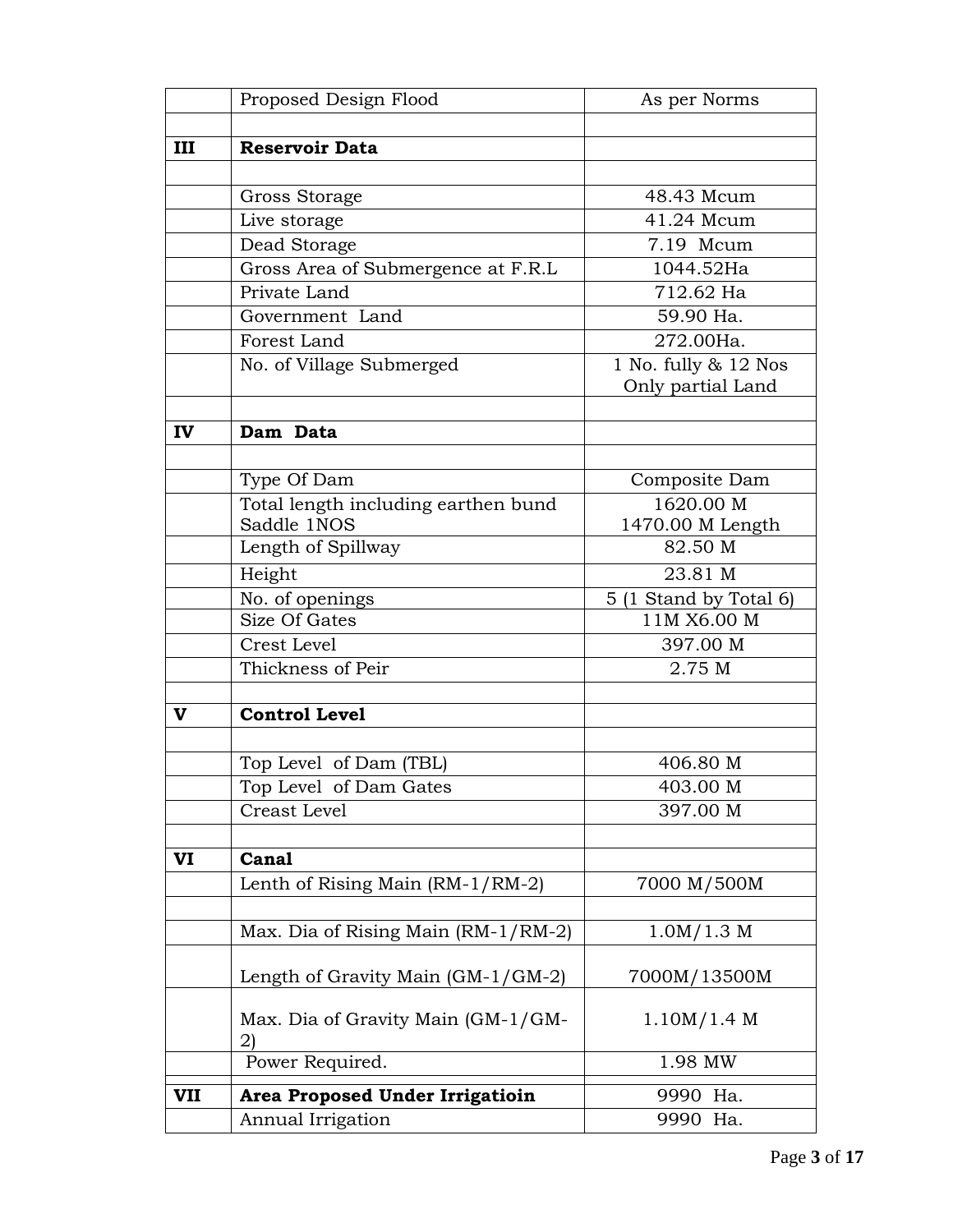|              | Proposed Design Flood                    | As per Norms                                     |  |
|--------------|------------------------------------------|--------------------------------------------------|--|
|              |                                          |                                                  |  |
| III          | <b>Reservoir Data</b>                    |                                                  |  |
|              |                                          |                                                  |  |
|              | Gross Storage                            | 48.43 Mcum                                       |  |
|              | Live storage                             | 41.24 Mcum                                       |  |
|              | Dead Storage                             | 7.19 Mcum                                        |  |
|              | Gross Area of Submergence at F.R.L       | 1044.52Ha                                        |  |
|              | Private Land                             | 712.62 Ha                                        |  |
|              | Government Land                          | 59.90 Ha.                                        |  |
|              | Forest Land                              | 272.00Ha.                                        |  |
|              | No. of Village Submerged                 | 1 No. fully & 12 Nos<br>Only partial Land        |  |
|              |                                          |                                                  |  |
| IV           | Dam Data                                 |                                                  |  |
|              |                                          |                                                  |  |
|              | Type Of Dam                              | Composite Dam                                    |  |
|              | Total length including earthen bund      | 1620.00 M                                        |  |
|              | Saddle 1NOS<br>Length of Spillway        | 1470.00 M Length<br>82.50 M                      |  |
|              |                                          |                                                  |  |
|              | Height                                   | 23.81 M<br>5 (1 Stand by Total 6)<br>11M X6.00 M |  |
|              | No. of openings<br>Size Of Gates         |                                                  |  |
|              | Crest Level                              | 397.00 M                                         |  |
|              | Thickness of Peir                        | 2.75 M                                           |  |
|              |                                          |                                                  |  |
| $\mathbf{v}$ | <b>Control Level</b>                     |                                                  |  |
|              |                                          |                                                  |  |
|              | Top Level of Dam (TBL)                   | 406.80 M                                         |  |
|              | Top Level of Dam Gates                   | 403.00 M                                         |  |
|              | Creast Level                             | 397.00 M                                         |  |
|              |                                          |                                                  |  |
| VI           | Canal                                    |                                                  |  |
|              | Lenth of Rising Main (RM-1/RM-2)         | 7000 M/500M                                      |  |
|              |                                          |                                                  |  |
|              | Max. Dia of Rising Main (RM-1/RM-2)      | 1.0M/1.3 M                                       |  |
|              | Length of Gravity Main (GM-1/GM-2)       | 7000M/13500M                                     |  |
|              | Max. Dia of Gravity Main (GM-1/GM-<br>2) | 1.10M/1.4 M                                      |  |
|              | Power Required.                          | 1.98 MW                                          |  |
| VII          | Area Proposed Under Irrigatioin          | 9990 Ha.                                         |  |
|              | Annual Irrigation                        | 9990 Ha.                                         |  |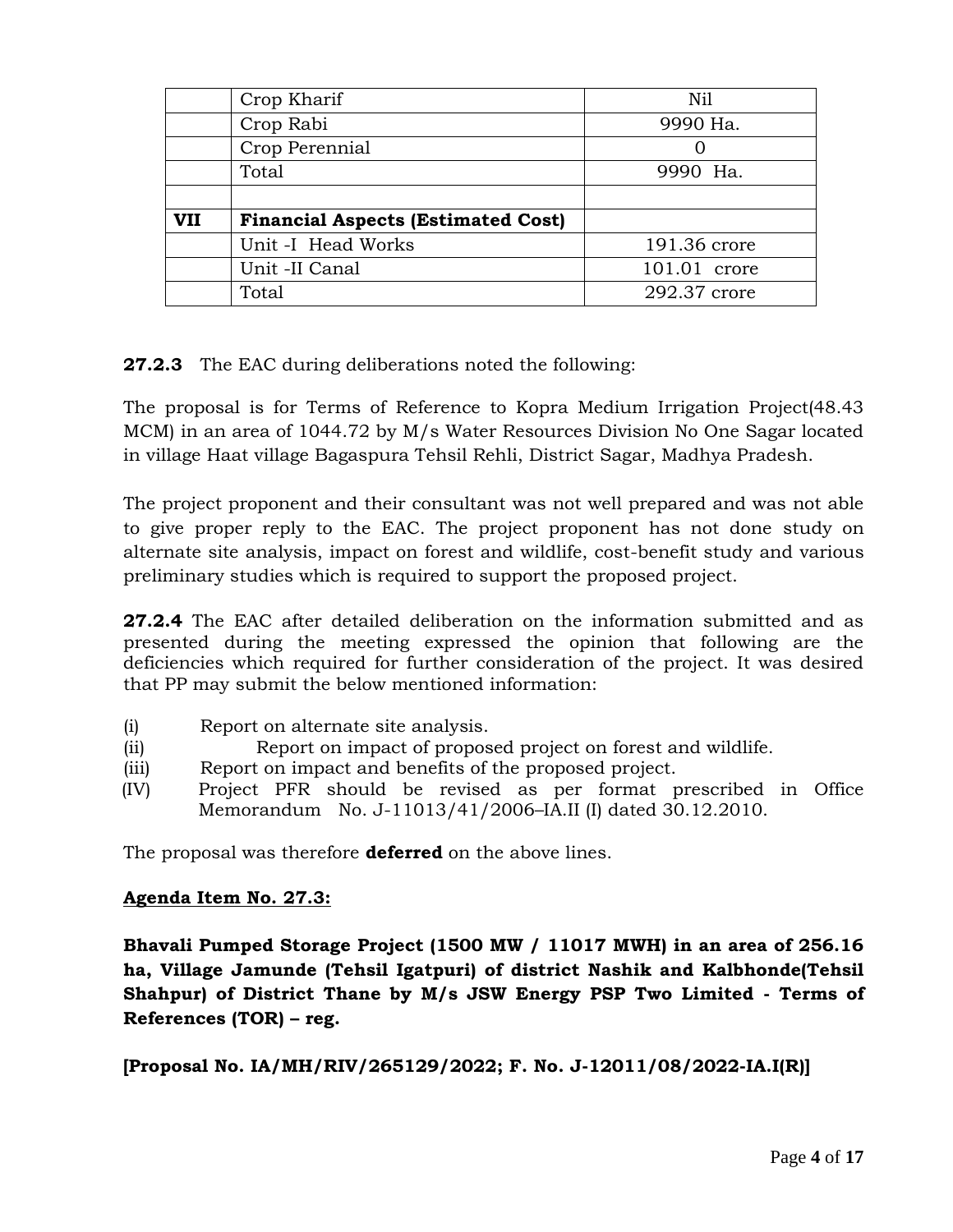|            | Crop Kharif                               | Nil          |  |
|------------|-------------------------------------------|--------------|--|
|            | Crop Rabi                                 | 9990 Ha.     |  |
|            | Crop Perennial                            |              |  |
|            | Total                                     | 9990 Ha.     |  |
|            |                                           |              |  |
| <b>VII</b> | <b>Financial Aspects (Estimated Cost)</b> |              |  |
|            | Unit -I Head Works                        | 191.36 crore |  |
|            | Unit -II Canal                            | 101.01 crore |  |
|            | Total                                     | 292.37 crore |  |

**27.2.3** The EAC during deliberations noted the following:

The proposal is for Terms of Reference to Kopra Medium Irrigation Project(48.43 MCM) in an area of 1044.72 by M/s Water Resources Division No One Sagar located in village Haat village Bagaspura Tehsil Rehli, District Sagar, Madhya Pradesh.

The project proponent and their consultant was not well prepared and was not able to give proper reply to the EAC. The project proponent has not done study on alternate site analysis, impact on forest and wildlife, cost-benefit study and various preliminary studies which is required to support the proposed project.

**27.2.4** The EAC after detailed deliberation on the information submitted and as presented during the meeting expressed the opinion that following are the deficiencies which required for further consideration of the project. It was desired that PP may submit the below mentioned information:

- (i) Report on alternate site analysis.
- (ii) Report on impact of proposed project on forest and wildlife.
- (iii) Report on impact and benefits of the proposed project.
- (IV) Project PFR should be revised as per format prescribed in Office Memorandum No. J-11013/41/2006–IA.II (I) dated 30.12.2010.

The proposal was therefore **deferred** on the above lines.

## **Agenda Item No. 27.3:**

**Bhavali Pumped Storage Project (1500 MW / 11017 MWH) in an area of 256.16 ha, Village Jamunde (Tehsil Igatpuri) of district Nashik and Kalbhonde(Tehsil Shahpur) of District Thane by M/s JSW Energy PSP Two Limited - Terms of References (TOR) – reg.**

**[Proposal No. IA/MH/RIV/265129/2022; F. No. J-12011/08/2022-IA.I(R)]**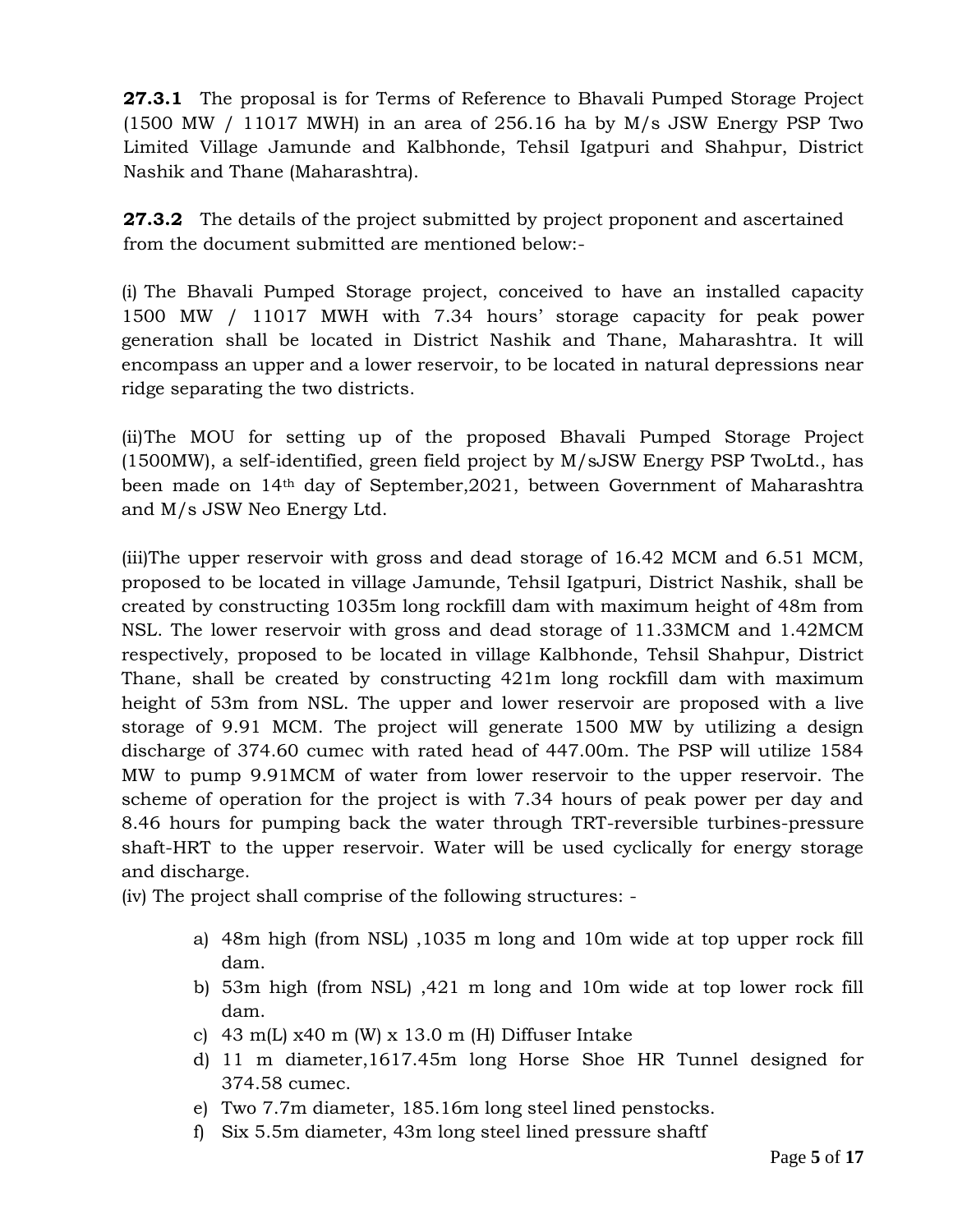**27.3.1** The proposal is for Terms of Reference to Bhavali Pumped Storage Project (1500 MW / 11017 MWH) in an area of 256.16 ha by M/s JSW Energy PSP Two Limited Village Jamunde and Kalbhonde, Tehsil Igatpuri and Shahpur, District Nashik and Thane (Maharashtra).

**27.3.2** The details of the project submitted by project proponent and ascertained from the document submitted are mentioned below:-

(i) The Bhavali Pumped Storage project, conceived to have an installed capacity 1500 MW / 11017 MWH with 7.34 hours" storage capacity for peak power generation shall be located in District Nashik and Thane, Maharashtra. It will encompass an upper and a lower reservoir, to be located in natural depressions near ridge separating the two districts.

(ii)The MOU for setting up of the proposed Bhavali Pumped Storage Project (1500MW), a self-identified, green field project by M/sJSW Energy PSP TwoLtd., has been made on 14th day of September,2021, between Government of Maharashtra and M/s JSW Neo Energy Ltd.

(iii)The upper reservoir with gross and dead storage of 16.42 MCM and 6.51 MCM, proposed to be located in village Jamunde, Tehsil Igatpuri, District Nashik, shall be created by constructing 1035m long rockfill dam with maximum height of 48m from NSL. The lower reservoir with gross and dead storage of 11.33MCM and 1.42MCM respectively, proposed to be located in village Kalbhonde, Tehsil Shahpur, District Thane, shall be created by constructing 421m long rockfill dam with maximum height of 53m from NSL. The upper and lower reservoir are proposed with a live storage of 9.91 MCM. The project will generate 1500 MW by utilizing a design discharge of 374.60 cumec with rated head of 447.00m. The PSP will utilize 1584 MW to pump 9.91MCM of water from lower reservoir to the upper reservoir. The scheme of operation for the project is with 7.34 hours of peak power per day and 8.46 hours for pumping back the water through TRT-reversible turbines-pressure shaft-HRT to the upper reservoir. Water will be used cyclically for energy storage and discharge.

(iv) The project shall comprise of the following structures: -

- a) 48m high (from NSL) ,1035 m long and 10m wide at top upper rock fill dam.
- b) 53m high (from NSL) ,421 m long and 10m wide at top lower rock fill dam.
- c) 43 m(L)  $x40$  m (W)  $x$  13.0 m (H) Diffuser Intake
- d) 11 m diameter,1617.45m long Horse Shoe HR Tunnel designed for 374.58 cumec.
- e) Two 7.7m diameter, 185.16m long steel lined penstocks.
- f) Six 5.5m diameter, 43m long steel lined pressure shaftf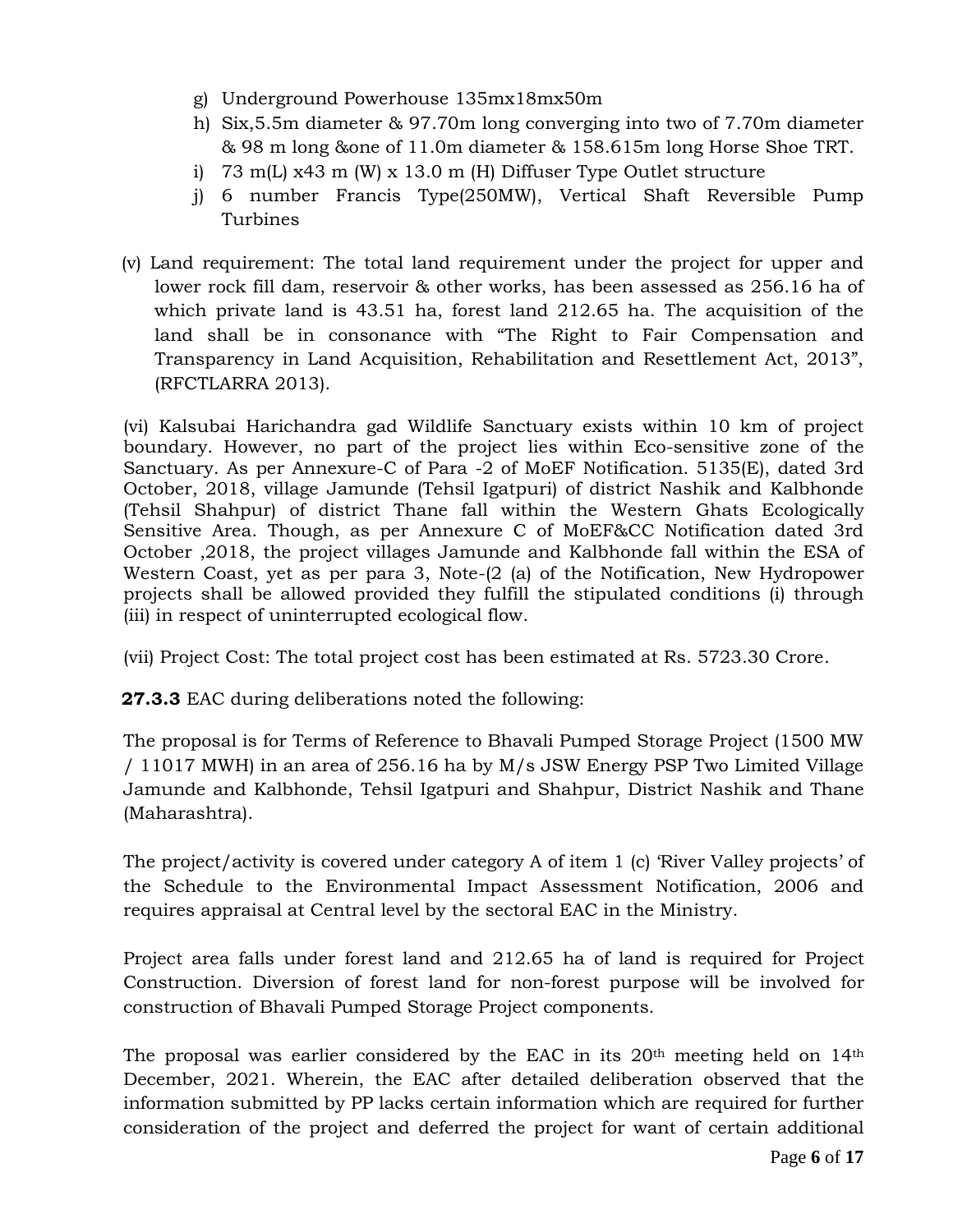- g) Underground Powerhouse 135mx18mx50m
- h) Six,5.5m diameter & 97.70m long converging into two of 7.70m diameter & 98 m long &one of 11.0m diameter & 158.615m long Horse Shoe TRT.
- i) 73 m(L) x43 m (W) x 13.0 m (H) Diffuser Type Outlet structure
- j) 6 number Francis Type(250MW), Vertical Shaft Reversible Pump Turbines
- (v) Land requirement: The total land requirement under the project for upper and lower rock fill dam, reservoir & other works, has been assessed as 256.16 ha of which private land is 43.51 ha, forest land 212.65 ha. The acquisition of the land shall be in consonance with "The Right to Fair Compensation and Transparency in Land Acquisition, Rehabilitation and Resettlement Act, 2013", (RFCTLARRA 2013).

(vi) Kalsubai Harichandra gad Wildlife Sanctuary exists within 10 km of project boundary. However, no part of the project lies within Eco-sensitive zone of the Sanctuary. As per Annexure-C of Para -2 of MoEF Notification. 5135(E), dated 3rd October, 2018, village Jamunde (Tehsil Igatpuri) of district Nashik and Kalbhonde (Tehsil Shahpur) of district Thane fall within the Western Ghats Ecologically Sensitive Area. Though, as per Annexure C of MoEF&CC Notification dated 3rd October ,2018, the project villages Jamunde and Kalbhonde fall within the ESA of Western Coast, yet as per para 3, Note-(2 (a) of the Notification, New Hydropower projects shall be allowed provided they fulfill the stipulated conditions (i) through (iii) in respect of uninterrupted ecological flow.

(vii) Project Cost: The total project cost has been estimated at Rs. 5723.30 Crore.

**27.3.3** EAC during deliberations noted the following:

The proposal is for Terms of Reference to Bhavali Pumped Storage Project (1500 MW / 11017 MWH) in an area of 256.16 ha by M/s JSW Energy PSP Two Limited Village Jamunde and Kalbhonde, Tehsil Igatpuri and Shahpur, District Nashik and Thane (Maharashtra).

The project/activity is covered under category A of item 1 (c) 'River Valley projects' of the Schedule to the Environmental Impact Assessment Notification, 2006 and requires appraisal at Central level by the sectoral EAC in the Ministry.

Project area falls under forest land and 212.65 ha of land is required for Project Construction. Diversion of forest land for non-forest purpose will be involved for construction of Bhavali Pumped Storage Project components.

The proposal was earlier considered by the EAC in its 20<sup>th</sup> meeting held on 14<sup>th</sup> December, 2021. Wherein, the EAC after detailed deliberation observed that the information submitted by PP lacks certain information which are required for further consideration of the project and deferred the project for want of certain additional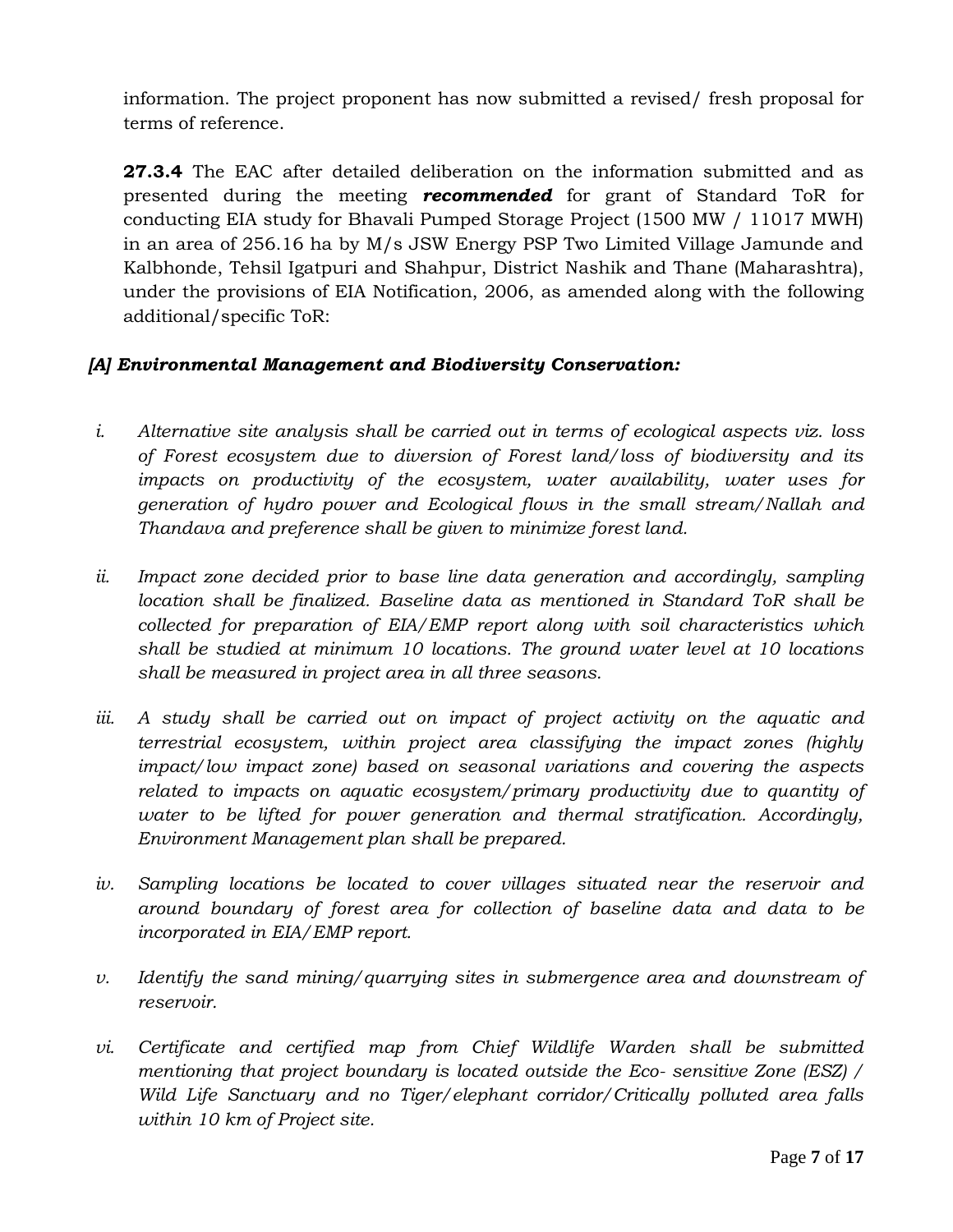information. The project proponent has now submitted a revised/ fresh proposal for terms of reference.

**27.3.4** The EAC after detailed deliberation on the information submitted and as presented during the meeting *recommended* for grant of Standard ToR for conducting EIA study for Bhavali Pumped Storage Project (1500 MW / 11017 MWH) in an area of 256.16 ha by M/s JSW Energy PSP Two Limited Village Jamunde and Kalbhonde, Tehsil Igatpuri and Shahpur, District Nashik and Thane (Maharashtra), under the provisions of EIA Notification, 2006, as amended along with the following additional/specific ToR:

## *[A] Environmental Management and Biodiversity Conservation:*

- *i. Alternative site analysis shall be carried out in terms of ecological aspects viz. loss of Forest ecosystem due to diversion of Forest land/loss of biodiversity and its impacts on productivity of the ecosystem, water availability, water uses for generation of hydro power and Ecological flows in the small stream/Nallah and Thandava and preference shall be given to minimize forest land.*
- *ii. Impact zone decided prior to base line data generation and accordingly, sampling location shall be finalized. Baseline data as mentioned in Standard ToR shall be collected for preparation of EIA/EMP report along with soil characteristics which shall be studied at minimum 10 locations. The ground water level at 10 locations shall be measured in project area in all three seasons.*
- iii. A study shall be carried out on impact of project activity on the aquatic and *terrestrial ecosystem, within project area classifying the impact zones (highly impact/low impact zone) based on seasonal variations and covering the aspects related to impacts on aquatic ecosystem/primary productivity due to quantity of water to be lifted for power generation and thermal stratification. Accordingly, Environment Management plan shall be prepared.*
- *iv. Sampling locations be located to cover villages situated near the reservoir and around boundary of forest area for collection of baseline data and data to be incorporated in EIA/EMP report.*
- *v. Identify the sand mining/quarrying sites in submergence area and downstream of reservoir.*
- *vi.* Certificate and certified map from Chief Wildlife Warden shall be submitted *mentioning that project boundary is located outside the Eco- sensitive Zone (ESZ) / Wild Life Sanctuary and no Tiger/elephant corridor/Critically polluted area falls within 10 km of Project site.*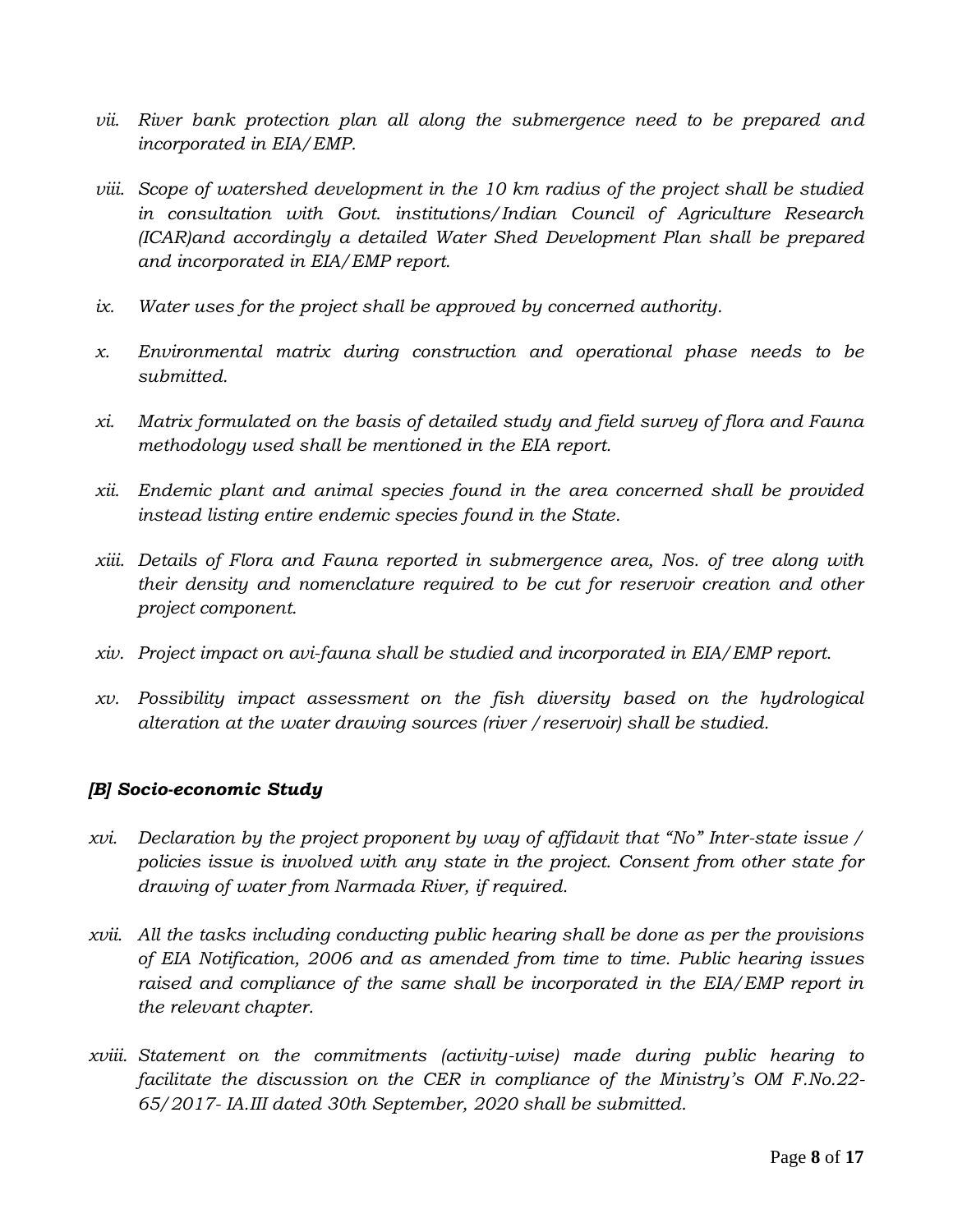- *vii. River bank protection plan all along the submergence need to be prepared and incorporated in EIA/EMP.*
- *viii. Scope of watershed development in the 10 km radius of the project shall be studied in consultation with Govt. institutions/Indian Council of Agriculture Research (ICAR)and accordingly a detailed Water Shed Development Plan shall be prepared and incorporated in EIA/EMP report.*
- *ix. Water uses for the project shall be approved by concerned authority.*
- *x. Environmental matrix during construction and operational phase needs to be submitted.*
- *xi. Matrix formulated on the basis of detailed study and field survey of flora and Fauna methodology used shall be mentioned in the EIA report.*
- *xii. Endemic plant and animal species found in the area concerned shall be provided instead listing entire endemic species found in the State.*
- *xiii. Details of Flora and Fauna reported in submergence area, Nos. of tree along with their density and nomenclature required to be cut for reservoir creation and other project component.*
- *xiv. Project impact on avi-fauna shall be studied and incorporated in EIA/EMP report.*
- *xv. Possibility impact assessment on the fish diversity based on the hydrological alteration at the water drawing sources (river /reservoir) shall be studied.*

## *[B] Socio-economic Study*

- *xvi. Declaration by the project proponent by way of affidavit that "No" Inter-state issue / policies issue is involved with any state in the project. Consent from other state for drawing of water from Narmada River, if required.*
- *xvii. All the tasks including conducting public hearing shall be done as per the provisions of EIA Notification, 2006 and as amended from time to time. Public hearing issues raised and compliance of the same shall be incorporated in the EIA/EMP report in the relevant chapter.*
- *xviii. Statement on the commitments (activity-wise) made during public hearing to facilitate the discussion on the CER in compliance of the Ministry's OM F.No.22- 65/2017- IA.III dated 30th September, 2020 shall be submitted.*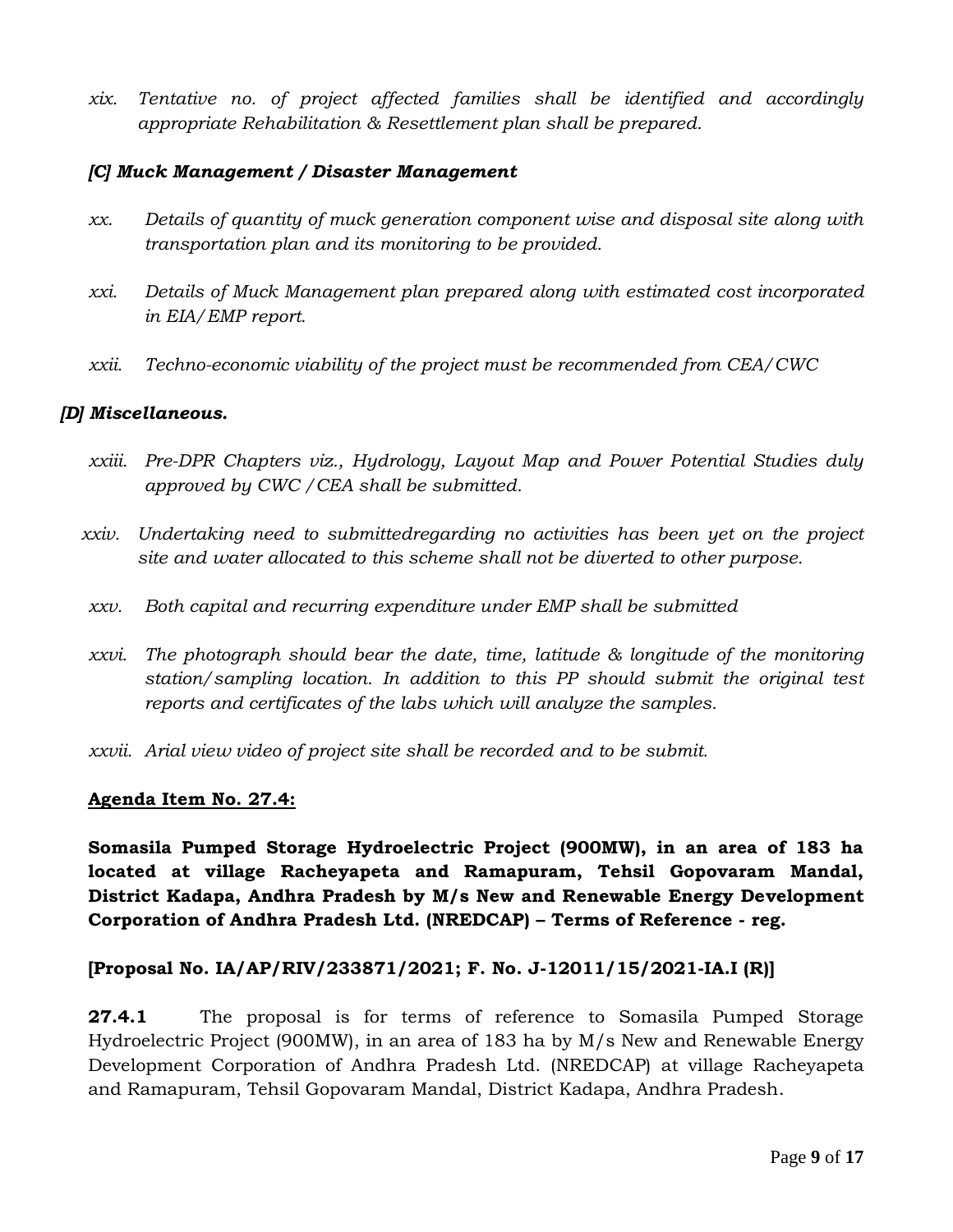*xix. Tentative no. of project affected families shall be identified and accordingly appropriate Rehabilitation & Resettlement plan shall be prepared.*

### *[C] Muck Management / Disaster Management*

- *xx. Details of quantity of muck generation component wise and disposal site along with transportation plan and its monitoring to be provided.*
- *xxi. Details of Muck Management plan prepared along with estimated cost incorporated in EIA/EMP report.*
- *xxii. Techno-economic viability of the project must be recommended from CEA/CWC*

## *[D] Miscellaneous.*

- *xxiii. Pre-DPR Chapters viz., Hydrology, Layout Map and Power Potential Studies duly approved by CWC /CEA shall be submitted.*
- *xxiv. Undertaking need to submittedregarding no activities has been yet on the project site and water allocated to this scheme shall not be diverted to other purpose.*
- *xxv. Both capital and recurring expenditure under EMP shall be submitted*
- *xxvi. The photograph should bear the date, time, latitude & longitude of the monitoring station/sampling location. In addition to this PP should submit the original test reports and certificates of the labs which will analyze the samples.*
- *xxvii. Arial view video of project site shall be recorded and to be submit.*

#### **Agenda Item No. 27.4:**

**Somasila Pumped Storage Hydroelectric Project (900MW), in an area of 183 ha located at village Racheyapeta and Ramapuram, Tehsil Gopovaram Mandal, District Kadapa, Andhra Pradesh by M/s New and Renewable Energy Development Corporation of Andhra Pradesh Ltd. (NREDCAP) – Terms of Reference - reg.**

#### **[Proposal No. IA/AP/RIV/233871/2021; F. No. J-12011/15/2021-IA.I (R)]**

**27.4.1** The proposal is for terms of reference to Somasila Pumped Storage Hydroelectric Project (900MW), in an area of 183 ha by M/s New and Renewable Energy Development Corporation of Andhra Pradesh Ltd. (NREDCAP) at village Racheyapeta and Ramapuram, Tehsil Gopovaram Mandal, District Kadapa, Andhra Pradesh.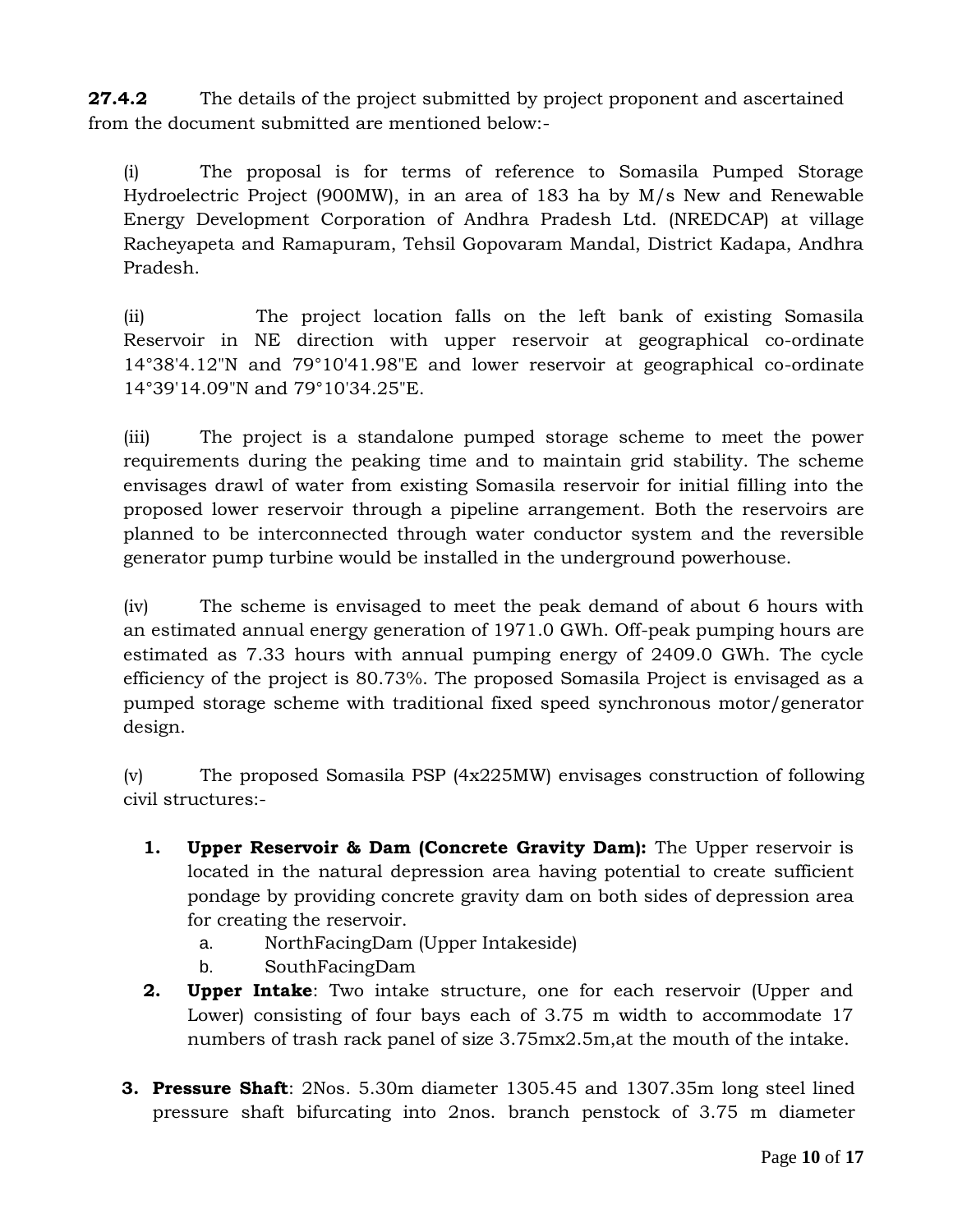**27.4.2** The details of the project submitted by project proponent and ascertained from the document submitted are mentioned below:-

(i) The proposal is for terms of reference to Somasila Pumped Storage Hydroelectric Project (900MW), in an area of 183 ha by M/s New and Renewable Energy Development Corporation of Andhra Pradesh Ltd. (NREDCAP) at village Racheyapeta and Ramapuram, Tehsil Gopovaram Mandal, District Kadapa, Andhra Pradesh.

(ii) The project location falls on the left bank of existing Somasila Reservoir in NE direction with upper reservoir at geographical co-ordinate 14°38'4.12"N and 79°10'41.98"E and lower reservoir at geographical co-ordinate 14°39'14.09"N and 79°10'34.25"E.

(iii) The project is a standalone pumped storage scheme to meet the power requirements during the peaking time and to maintain grid stability. The scheme envisages drawl of water from existing Somasila reservoir for initial filling into the proposed lower reservoir through a pipeline arrangement. Both the reservoirs are planned to be interconnected through water conductor system and the reversible generator pump turbine would be installed in the underground powerhouse.

(iv) The scheme is envisaged to meet the peak demand of about 6 hours with an estimated annual energy generation of 1971.0 GWh. Off-peak pumping hours are estimated as 7.33 hours with annual pumping energy of 2409.0 GWh. The cycle efficiency of the project is 80.73%. The proposed Somasila Project is envisaged as a pumped storage scheme with traditional fixed speed synchronous motor/generator design.

(v) The proposed Somasila PSP (4x225MW) envisages construction of following civil structures:-

- **1. Upper Reservoir & Dam (Concrete Gravity Dam):** The Upper reservoir is located in the natural depression area having potential to create sufficient pondage by providing concrete gravity dam on both sides of depression area for creating the reservoir.
	- a. NorthFacingDam (Upper Intakeside)
	- b. SouthFacingDam
- **2. Upper Intake**: Two intake structure, one for each reservoir (Upper and Lower) consisting of four bays each of 3.75 m width to accommodate 17 numbers of trash rack panel of size 3.75mx2.5m,at the mouth of the intake.
- **3. Pressure Shaft**: 2Nos. 5.30m diameter 1305.45 and 1307.35m long steel lined pressure shaft bifurcating into 2nos. branch penstock of 3.75 m diameter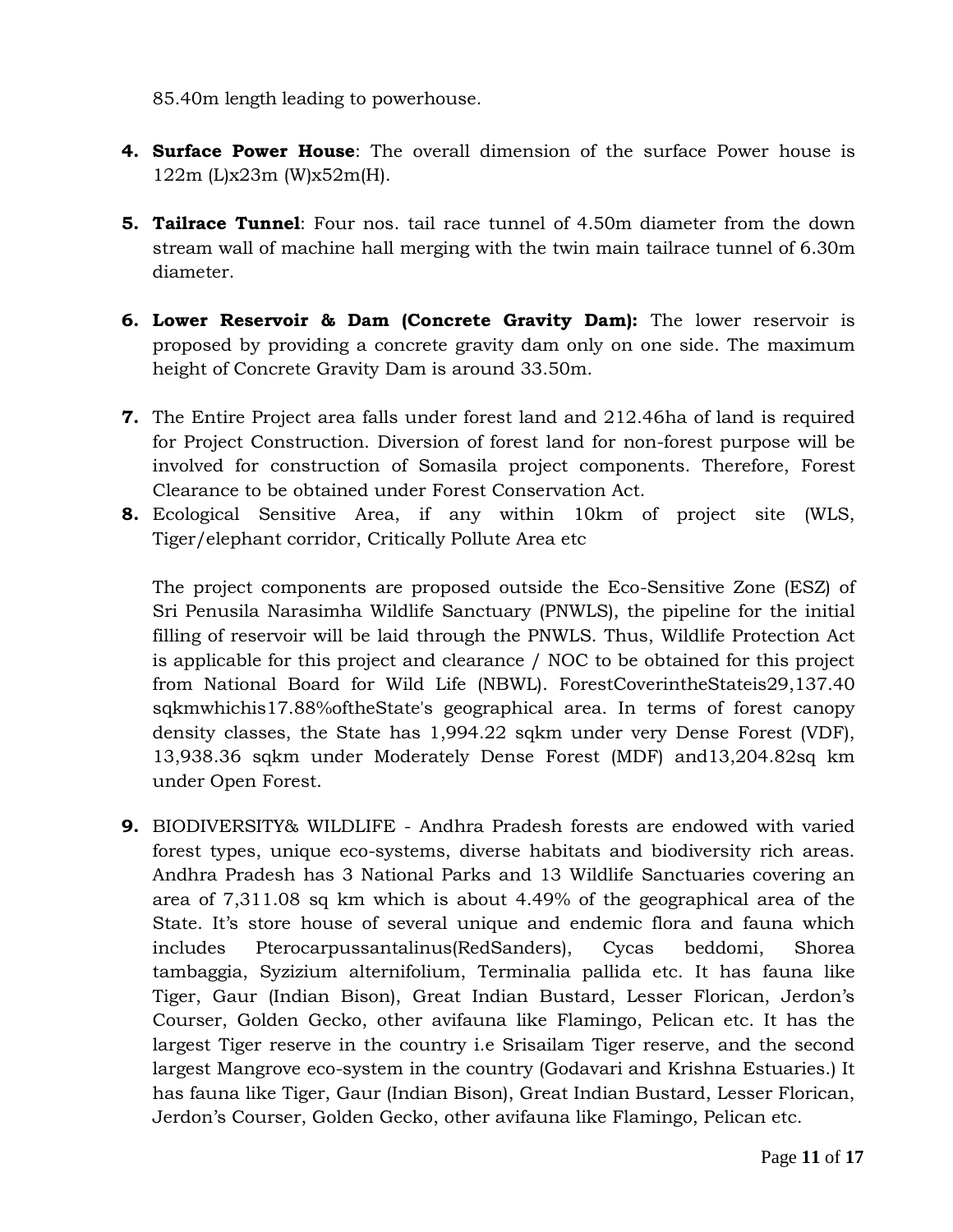85.40m length leading to powerhouse.

- **4. Surface Power House**: The overall dimension of the surface Power house is 122m (L)x23m (W)x52m(H).
- **5. Tailrace Tunnel**: Four nos. tail race tunnel of 4.50m diameter from the down stream wall of machine hall merging with the twin main tailrace tunnel of 6.30m diameter.
- **6. Lower Reservoir & Dam (Concrete Gravity Dam):** The lower reservoir is proposed by providing a concrete gravity dam only on one side. The maximum height of Concrete Gravity Dam is around 33.50m.
- **7.** The Entire Project area falls under forest land and 212.46ha of land is required for Project Construction. Diversion of forest land for non-forest purpose will be involved for construction of Somasila project components. Therefore, Forest Clearance to be obtained under Forest Conservation Act.
- **8.** Ecological Sensitive Area, if any within 10km of project site (WLS, Tiger/elephant corridor, Critically Pollute Area etc

The project components are proposed outside the Eco-Sensitive Zone (ESZ) of Sri Penusila Narasimha Wildlife Sanctuary (PNWLS), the pipeline for the initial filling of reservoir will be laid through the PNWLS. Thus, Wildlife Protection Act is applicable for this project and clearance / NOC to be obtained for this project from National Board for Wild Life (NBWL). ForestCoverintheStateis29,137.40 sqkmwhichis17.88%oftheState's geographical area. In terms of forest canopy density classes, the State has 1,994.22 sqkm under very Dense Forest (VDF), 13,938.36 sqkm under Moderately Dense Forest (MDF) and13,204.82sq km under Open Forest.

**9.** BIODIVERSITY& WILDLIFE - Andhra Pradesh forests are endowed with varied forest types, unique eco-systems, diverse habitats and biodiversity rich areas. Andhra Pradesh has 3 National Parks and 13 Wildlife Sanctuaries covering an area of 7,311.08 sq km which is about 4.49% of the geographical area of the State. It's store house of several unique and endemic flora and fauna which includes Pterocarpussantalinus(RedSanders), Cycas beddomi, Shorea tambaggia, Syzizium alternifolium, Terminalia pallida etc. It has fauna like Tiger, Gaur (Indian Bison), Great Indian Bustard, Lesser Florican, Jerdon"s Courser, Golden Gecko, other avifauna like Flamingo, Pelican etc. It has the largest Tiger reserve in the country i.e Srisailam Tiger reserve, and the second largest Mangrove eco-system in the country (Godavari and Krishna Estuaries.) It has fauna like Tiger, Gaur (Indian Bison), Great Indian Bustard, Lesser Florican, Jerdon"s Courser, Golden Gecko, other avifauna like Flamingo, Pelican etc.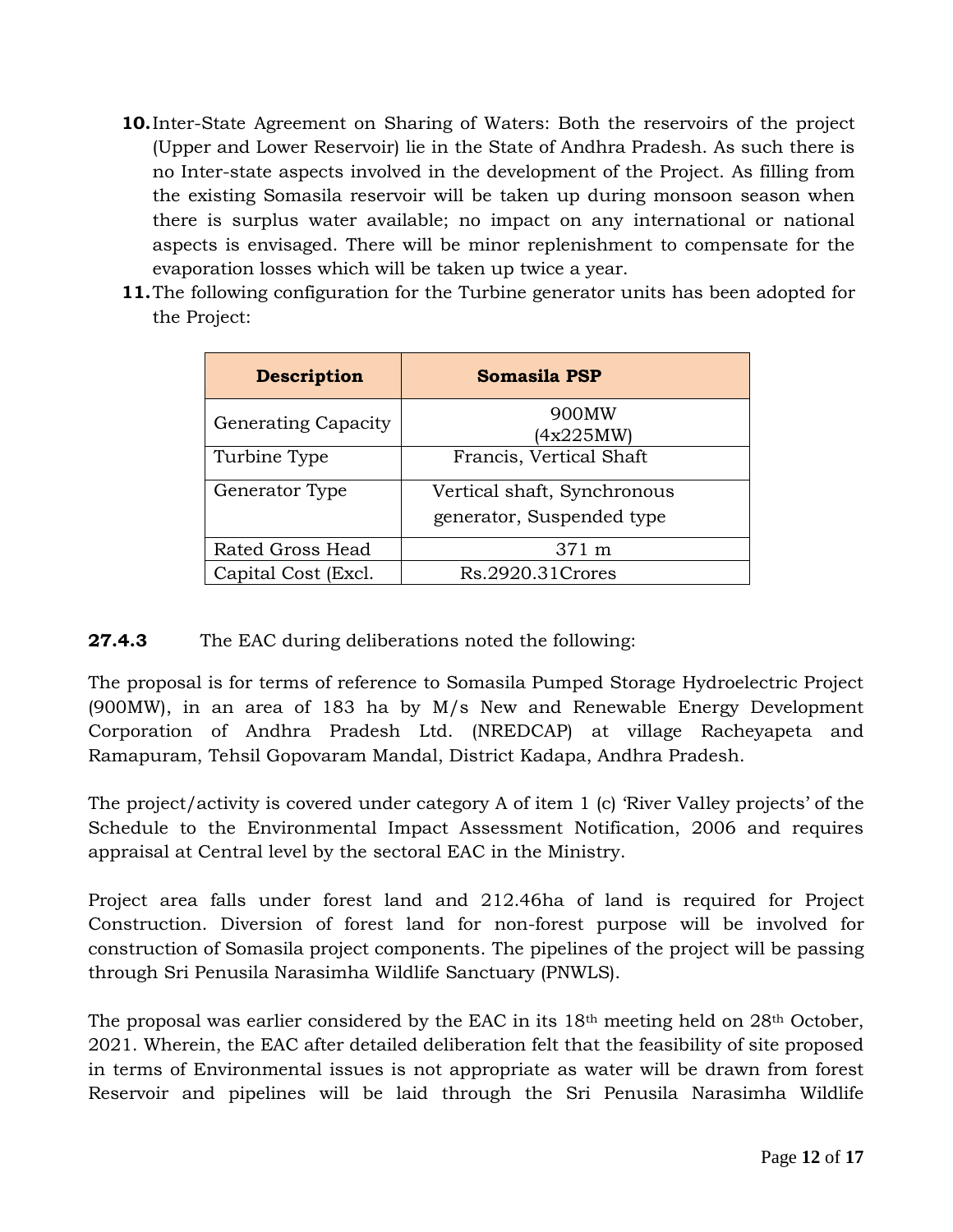- **10.**Inter-State Agreement on Sharing of Waters: Both the reservoirs of the project (Upper and Lower Reservoir) lie in the State of Andhra Pradesh. As such there is no Inter-state aspects involved in the development of the Project. As filling from the existing Somasila reservoir will be taken up during monsoon season when there is surplus water available; no impact on any international or national aspects is envisaged. There will be minor replenishment to compensate for the evaporation losses which will be taken up twice a year.
- **11.**The following configuration for the Turbine generator units has been adopted for the Project:

| <b>Description</b>         | <b>Somasila PSP</b>                                      |
|----------------------------|----------------------------------------------------------|
| <b>Generating Capacity</b> | 900MW<br>(4x225MW)                                       |
| Turbine Type               | Francis, Vertical Shaft                                  |
| Generator Type             | Vertical shaft, Synchronous<br>generator, Suspended type |
| Rated Gross Head           | $371 \text{ m}$                                          |
| Capital Cost (Excl.        | Rs.2920.31 Crores                                        |

## **27.4.3** The EAC during deliberations noted the following:

The proposal is for terms of reference to Somasila Pumped Storage Hydroelectric Project (900MW), in an area of 183 ha by M/s New and Renewable Energy Development Corporation of Andhra Pradesh Ltd. (NREDCAP) at village Racheyapeta and Ramapuram, Tehsil Gopovaram Mandal, District Kadapa, Andhra Pradesh.

The project/activity is covered under category A of item 1 (c) 'River Valley projects' of the Schedule to the Environmental Impact Assessment Notification, 2006 and requires appraisal at Central level by the sectoral EAC in the Ministry.

Project area falls under forest land and 212.46ha of land is required for Project Construction. Diversion of forest land for non-forest purpose will be involved for construction of Somasila project components. The pipelines of the project will be passing through Sri Penusila Narasimha Wildlife Sanctuary (PNWLS).

The proposal was earlier considered by the EAC in its  $18<sup>th</sup>$  meeting held on  $28<sup>th</sup>$  October, 2021. Wherein, the EAC after detailed deliberation felt that the feasibility of site proposed in terms of Environmental issues is not appropriate as water will be drawn from forest Reservoir and pipelines will be laid through the Sri Penusila Narasimha Wildlife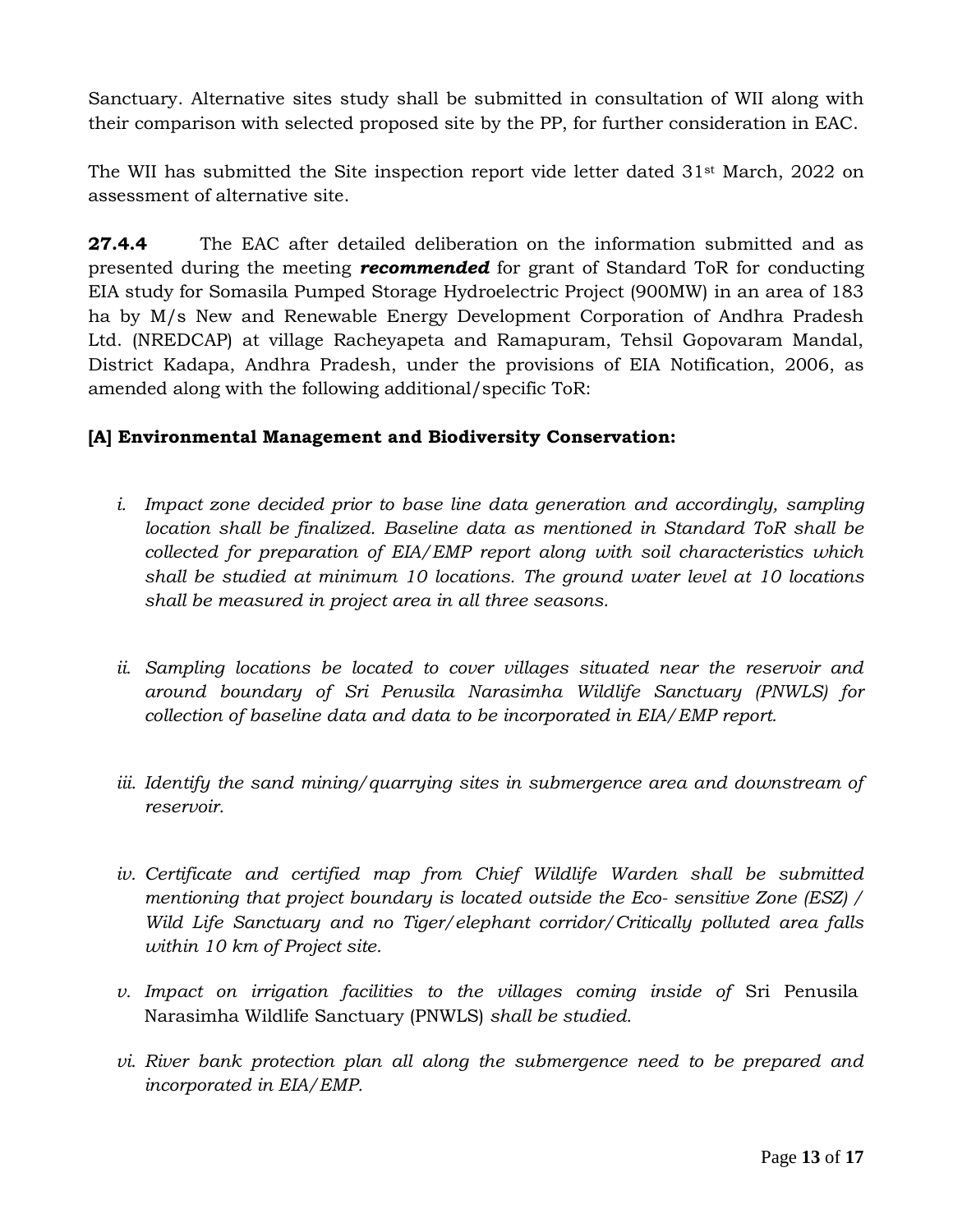Sanctuary. Alternative sites study shall be submitted in consultation of WII along with their comparison with selected proposed site by the PP, for further consideration in EAC.

The WII has submitted the Site inspection report vide letter dated 31st March, 2022 on assessment of alternative site.

**27.4.4** The EAC after detailed deliberation on the information submitted and as presented during the meeting *recommended* for grant of Standard ToR for conducting EIA study for Somasila Pumped Storage Hydroelectric Project (900MW) in an area of 183 ha by M/s New and Renewable Energy Development Corporation of Andhra Pradesh Ltd. (NREDCAP) at village Racheyapeta and Ramapuram, Tehsil Gopovaram Mandal, District Kadapa, Andhra Pradesh, under the provisions of EIA Notification, 2006, as amended along with the following additional/specific ToR:

## **[A] Environmental Management and Biodiversity Conservation:**

- *i. Impact zone decided prior to base line data generation and accordingly, sampling location shall be finalized. Baseline data as mentioned in Standard ToR shall be collected for preparation of EIA/EMP report along with soil characteristics which shall be studied at minimum 10 locations. The ground water level at 10 locations shall be measured in project area in all three seasons.*
- *ii. Sampling locations be located to cover villages situated near the reservoir and around boundary of Sri Penusila Narasimha Wildlife Sanctuary (PNWLS) for collection of baseline data and data to be incorporated in EIA/EMP report.*
- *iii. Identify the sand mining/quarrying sites in submergence area and downstream of reservoir.*
- iv. Certificate and certified map from Chief Wildlife Warden shall be submitted *mentioning that project boundary is located outside the Eco- sensitive Zone (ESZ) / Wild Life Sanctuary and no Tiger/elephant corridor/Critically polluted area falls within 10 km of Project site.*
- *v. Impact on irrigation facilities to the villages coming inside of* Sri Penusila Narasimha Wildlife Sanctuary (PNWLS) *shall be studied.*
- *vi. River bank protection plan all along the submergence need to be prepared and incorporated in EIA/EMP.*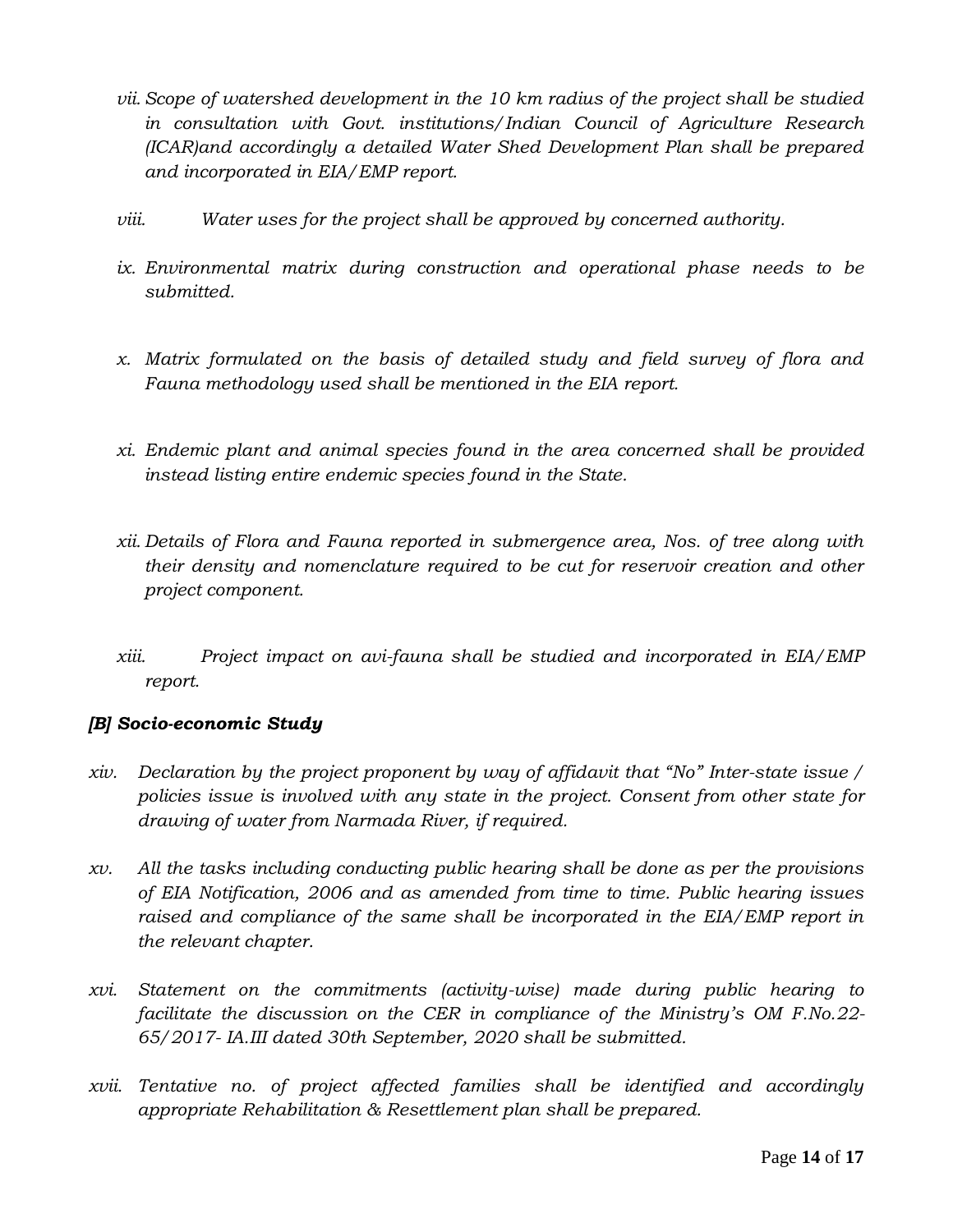- *vii. Scope of watershed development in the 10 km radius of the project shall be studied in consultation with Govt. institutions/Indian Council of Agriculture Research (ICAR)and accordingly a detailed Water Shed Development Plan shall be prepared and incorporated in EIA/EMP report.*
- *viii. Water uses for the project shall be approved by concerned authority.*
- *ix. Environmental matrix during construction and operational phase needs to be submitted.*
- *x. Matrix formulated on the basis of detailed study and field survey of flora and Fauna methodology used shall be mentioned in the EIA report.*
- *xi. Endemic plant and animal species found in the area concerned shall be provided instead listing entire endemic species found in the State.*
- *xii. Details of Flora and Fauna reported in submergence area, Nos. of tree along with their density and nomenclature required to be cut for reservoir creation and other project component.*
- *xiii. Project impact on avi-fauna shall be studied and incorporated in EIA/EMP report.*

# *[B] Socio-economic Study*

- *xiv. Declaration by the project proponent by way of affidavit that "No" Inter-state issue / policies issue is involved with any state in the project. Consent from other state for drawing of water from Narmada River, if required.*
- *xv. All the tasks including conducting public hearing shall be done as per the provisions of EIA Notification, 2006 and as amended from time to time. Public hearing issues raised and compliance of the same shall be incorporated in the EIA/EMP report in the relevant chapter.*
- *xvi. Statement on the commitments (activity-wise) made during public hearing to facilitate the discussion on the CER in compliance of the Ministry's OM F.No.22- 65/2017- IA.III dated 30th September, 2020 shall be submitted.*
- *xvii. Tentative no. of project affected families shall be identified and accordingly appropriate Rehabilitation & Resettlement plan shall be prepared.*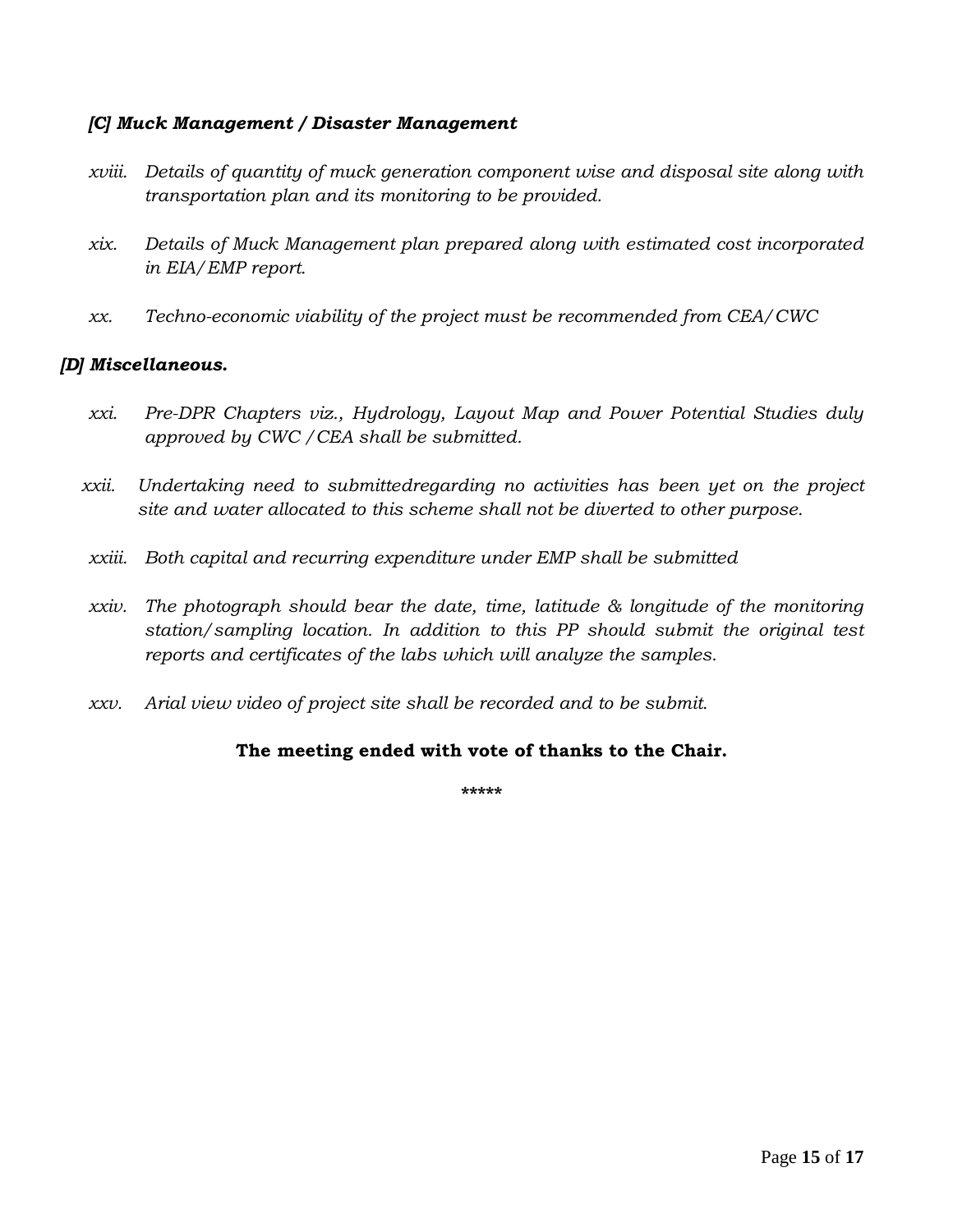## *[C] Muck Management / Disaster Management*

- *xviii. Details of quantity of muck generation component wise and disposal site along with transportation plan and its monitoring to be provided.*
- *xix. Details of Muck Management plan prepared along with estimated cost incorporated in EIA/EMP report.*
- *xx. Techno-economic viability of the project must be recommended from CEA/CWC*

## *[D] Miscellaneous.*

- *xxi. Pre-DPR Chapters viz., Hydrology, Layout Map and Power Potential Studies duly approved by CWC /CEA shall be submitted.*
- *xxii. Undertaking need to submittedregarding no activities has been yet on the project site and water allocated to this scheme shall not be diverted to other purpose.*
- *xxiii. Both capital and recurring expenditure under EMP shall be submitted*
- *xxiv. The photograph should bear the date, time, latitude & longitude of the monitoring station/sampling location. In addition to this PP should submit the original test reports and certificates of the labs which will analyze the samples.*
- *xxv. Arial view video of project site shall be recorded and to be submit.*

## **The meeting ended with vote of thanks to the Chair.**

**\*\*\*\*\***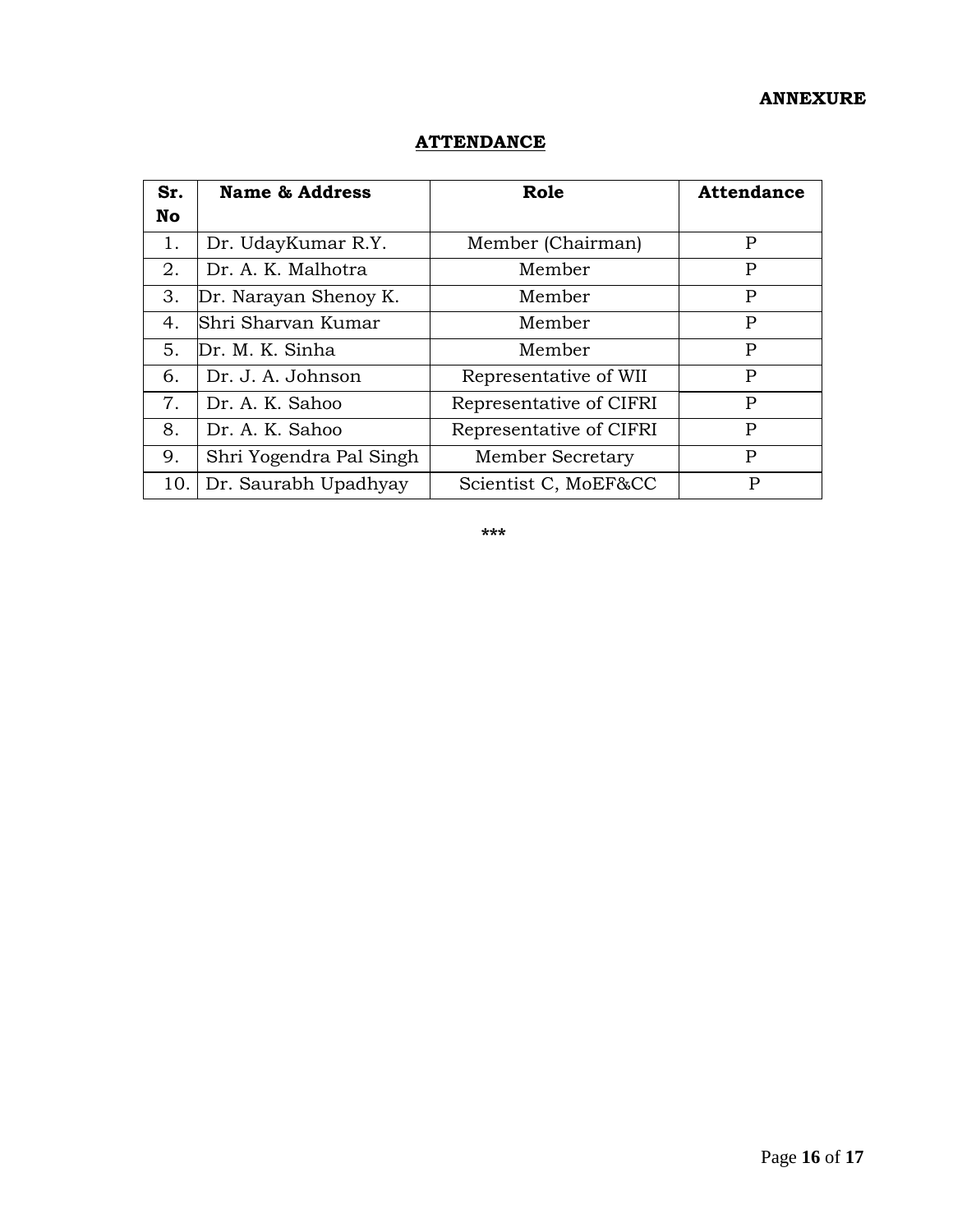## **ANNEXURE**

| Sr. | <b>Name &amp; Address</b> | Role                    | <b>Attendance</b> |
|-----|---------------------------|-------------------------|-------------------|
| No. |                           |                         |                   |
| 1.  | Dr. UdayKumar R.Y.        | Member (Chairman)       | P                 |
| 2.  | Dr. A. K. Malhotra        | Member                  | P                 |
| 3.  | Dr. Narayan Shenoy K.     | Member                  | P                 |
| 4.  | Shri Sharvan Kumar        | Member                  | P                 |
| 5.  | Dr. M. K. Sinha           | Member                  | P                 |
| 6.  | Dr. J. A. Johnson         | Representative of WII   | P                 |
| 7.  | Dr. A. K. Sahoo           | Representative of CIFRI | P                 |
| 8.  | Dr. A. K. Sahoo           | Representative of CIFRI | P                 |
| 9.  | Shri Yogendra Pal Singh   | Member Secretary        | P                 |
| 10. | Dr. Saurabh Upadhyay      | Scientist C, MoEF&CC    | P                 |

# **ATTENDANCE**

**\*\*\***